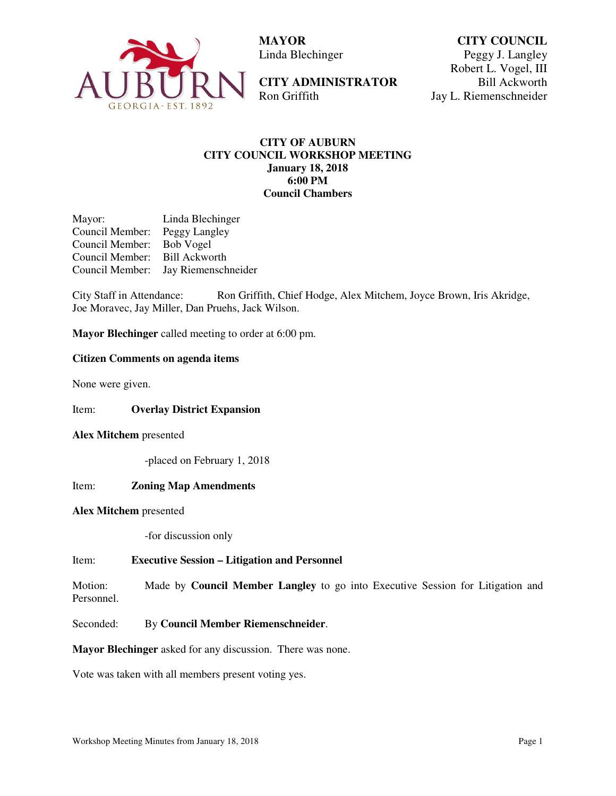

 **MAYOR**  Linda Blechinger

**CITY ADMINISTRATOR**  Ron Griffith

**CITY COUNCIL** Peggy J. Langley Robert L. Vogel, III Bill Ackworth Jay L. Riemenschneider

## **CITY OF AUBURN CITY COUNCIL WORKSHOP MEETING January 18, 2018 6:00 PM Council Chambers**

Mayor: Linda Blechinger Council Member: Peggy Langley Council Member: Bob Vogel Council Member: Bill Ackworth Council Member: Jay Riemenschneider

City Staff in Attendance: Ron Griffith, Chief Hodge, Alex Mitchem, Joyce Brown, Iris Akridge, Joe Moravec, Jay Miller, Dan Pruehs, Jack Wilson.

**Mayor Blechinger** called meeting to order at 6:00 pm.

# **Citizen Comments on agenda items**

None were given.

Item: **Overlay District Expansion** 

### **Alex Mitchem** presented

-placed on February 1, 2018

### Item: **Zoning Map Amendments**

#### **Alex Mitchem** presented

-for discussion only

### Item: **Executive Session – Litigation and Personnel**

Motion: Made by **Council Member Langley** to go into Executive Session for Litigation and Personnel.

Seconded: By **Council Member Riemenschneider**.

**Mayor Blechinger** asked for any discussion. There was none.

Vote was taken with all members present voting yes.